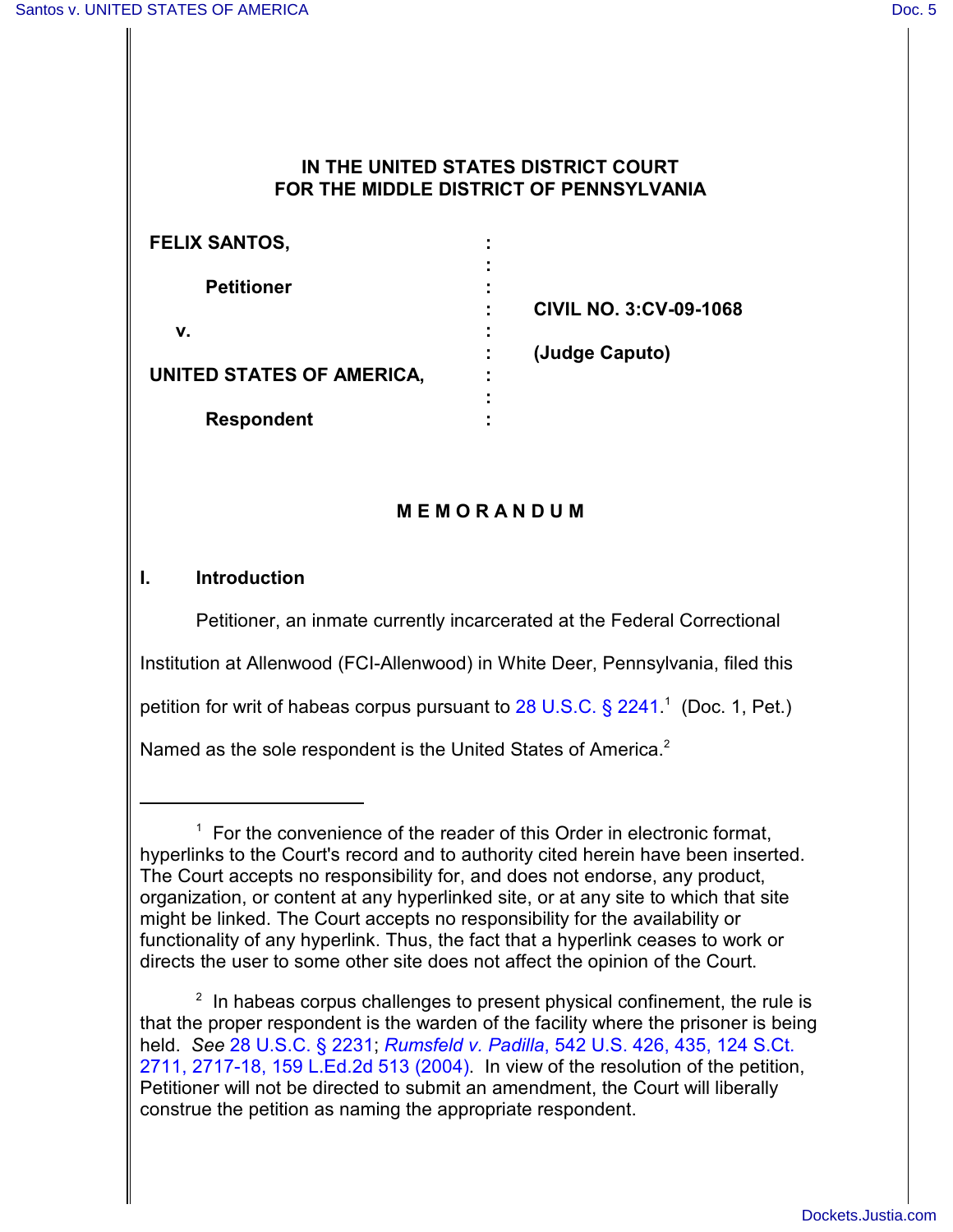## **IN THE UNITED STATES DISTRICT COURT FOR THE MIDDLE DISTRICT OF PENNSYLVANIA**

| <b>FELIX SANTOS,</b>      | ٠<br>٠<br>٠ |                               |
|---------------------------|-------------|-------------------------------|
| <b>Petitioner</b>         | ٠<br>٠      |                               |
|                           |             | <b>CIVIL NO. 3:CV-09-1068</b> |
| v.                        | ٠<br>٠      |                               |
|                           |             | (Judge Caputo)                |
| UNITED STATES OF AMERICA, | ٠<br>٠      |                               |
|                           | ٠<br>٠      |                               |
| <b>Respondent</b>         |             |                               |

# **M E M O R A N D U M**

# **I. Introduction**

Petitioner, an inmate currently incarcerated at the Federal Correctional Institution at Allenwood (FCI-Allenwood) in White Deer, Pennsylvania, filed this petition for writ of habeas corpus pursuant to 28 U.S.C.  $\S$  2241.<sup>1</sup> (Doc. 1, Pet.) Named as the sole respondent is the United States of America.<sup>2</sup>

 $1$  For the convenience of the reader of this Order in electronic format, hyperlinks to the Court's record and to authority cited herein have been inserted. The Court accepts no responsibility for, and does not endorse, any product, organization, or content at any hyperlinked site, or at any site to which that site might be linked. The Court accepts no responsibility for the availability or functionality of any hyperlink. Thus, the fact that a hyperlink ceases to work or directs the user to some other site does not affect the opinion of the Court.

 $3<sup>2</sup>$  In habeas corpus challenges to present physical confinement, the rule is that the proper respondent is the warden of the facility where the prisoner is being held. *See* [28 U.S.C. § 2231](http://www.westlaw.com/find/default.wl?rs=CLWP3.0&vr=2.0&cite=28+USCA+s+2231); *Rumsfeld v. Padilla*[, 542 U.S. 426, 435, 124 S.Ct.](http://www.westlaw.com/find/default.wl?rs=CLWP3.0&vr=2.0&cite=542+U.S.+426) [2711, 2717-18, 159 L.Ed.2d 513 \(2004\)](http://www.westlaw.com/find/default.wl?rs=CLWP3.0&vr=2.0&cite=542+U.S.+426). In view of the resolution of the petition, Petitioner will not be directed to submit an amendment, the Court will liberally construe the petition as naming the appropriate respondent.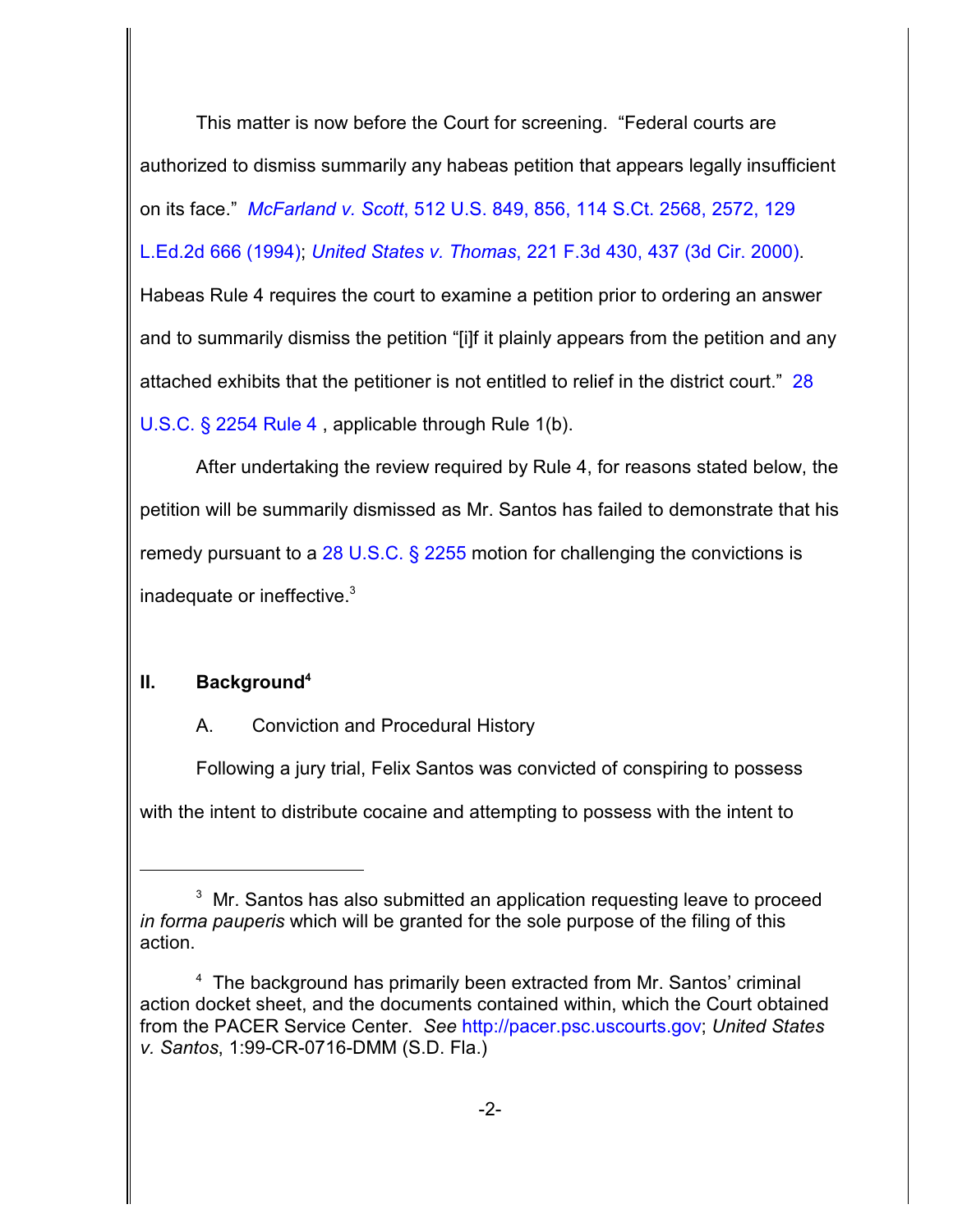This matter is now before the Court for screening. "Federal courts are authorized to dismiss summarily any habeas petition that appears legally insufficient on its face." *McFarland v. Scott*[, 512 U.S. 849, 856, 114 S.Ct. 2568, 2572, 129](http://www.westlaw.com/find/default.wl?rs=CLWP3.0&vr=2.0&cite=512+U.S.+849)

[L.Ed.2d 666 \(1994\)](http://www.westlaw.com/find/default.wl?rs=CLWP3.0&vr=2.0&cite=512+U.S.+849); *United States v. Thomas*[, 221 F.3d 430, 437 \(3d Cir. 2000\)](http://www.westlaw.com/find/default.wl?rs=CLWP3.0&vr=2.0&cite=221+F.3d+430).

Habeas Rule 4 requires the court to examine a petition prior to ordering an answer and to summarily dismiss the petition "[i]f it plainly appears from the petition and any attached exhibits that the petitioner is not entitled to relief in the district court.[" 28](http://www.westlaw.com/keycite/default.wl?rs=CLWP3.0&vr=2.0&cite=++28+U.S.C.+s+2254+Rule+4+) [U.S.C. § 2254 Rule 4](http://www.westlaw.com/keycite/default.wl?rs=CLWP3.0&vr=2.0&cite=++28+U.S.C.+s+2254+Rule+4+) , applicable through Rule 1(b).

After undertaking the review required by Rule 4, for reasons stated below, the petition will be summarily dismissed as Mr. Santos has failed to demonstrate that his remedy pursuant to a  $28$  U.S.C. § 2255 motion for challenging the convictions is inadequate or ineffective. $3$ 

## **II. Background<sup>4</sup>**

A. Conviction and Procedural History

Following a jury trial, Felix Santos was convicted of conspiring to possess with the intent to distribute cocaine and attempting to possess with the intent to

 $3\,$  Mr. Santos has also submitted an application requesting leave to proceed *in forma pauperis* which will be granted for the sole purpose of the filing of this action.

 $4$  The background has primarily been extracted from Mr. Santos' criminal action docket sheet, and the documents contained within, which the Court obtained from the PACER Service Center. *See* [http://pacer.psc.uscourts.gov](http://www.westlaw.com/keycite/default.wl?rs=CLWP3.0&vr=2.0&cite=http%3a%2f%2fpacer.psc.uscourts.gov); *United States v. Santos*, 1:99-CR-0716-DMM (S.D. Fla.)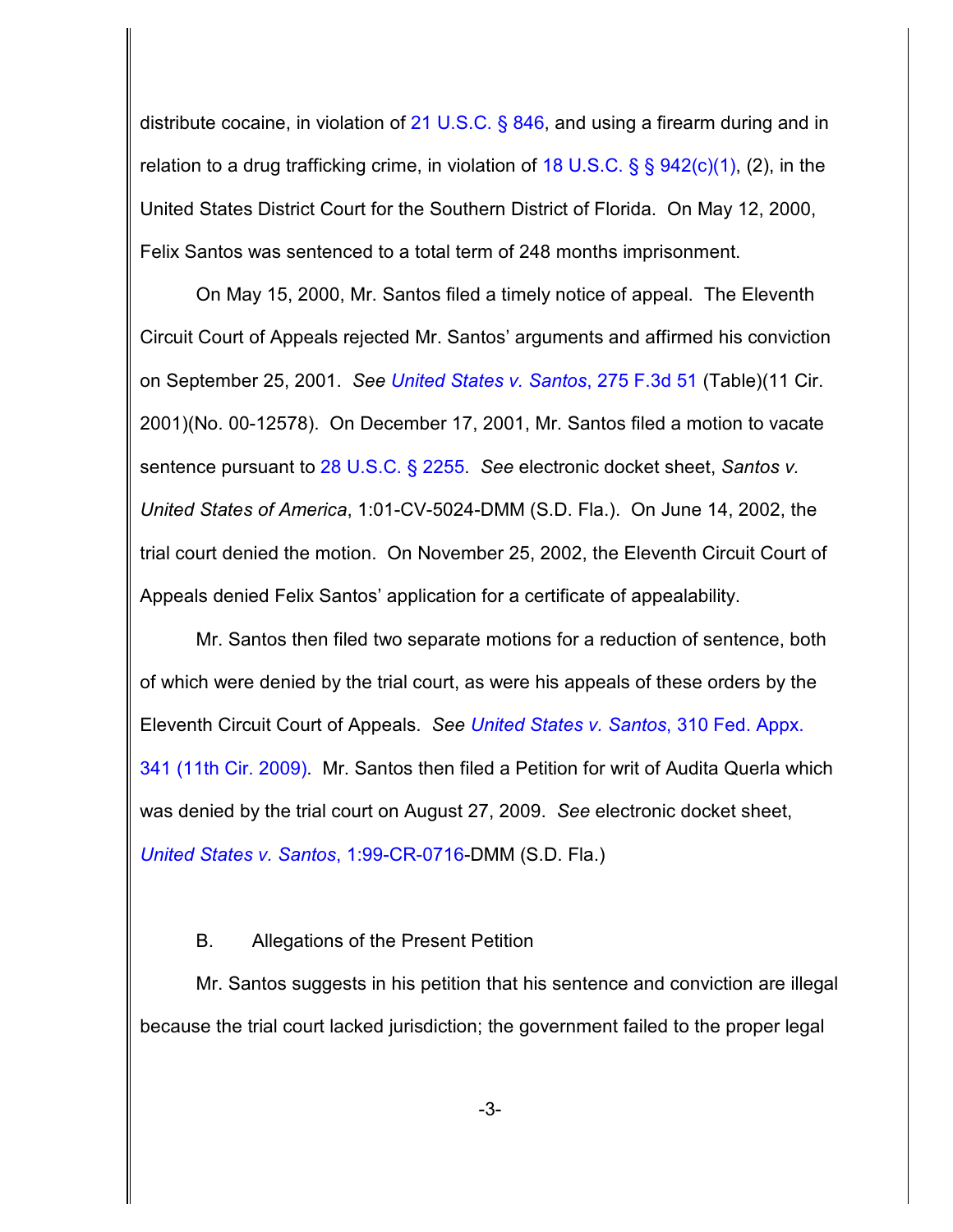distribute cocaine, in violation of 21 U.S.C.  $\S$  846, and using a firearm during and in relation to a drug trafficking crime, in violation of [18 U.S.C. § § 942\(c\)\(1\)](http://www.westlaw.com/find/default.wl?rs=CLWP3.0&vr=2.0&cite=18+USCA+s+s+942%28c%29%281%29), (2), in the United States District Court for the Southern District of Florida. On May 12, 2000, Felix Santos was sentenced to a total term of 248 months imprisonment.

 On May 15, 2000, Mr. Santos filed a timely notice of appeal. The Eleventh Circuit Court of Appeals rejected Mr. Santos' arguments and affirmed his conviction on September 25, 2001. *See [United States v. Santos](http://www.westlaw.com/find/default.wl?rs=CLWP3.0&vr=2.0&cite=275+F.3d+51)*, 275 F.3d 51 (Table)(11 Cir. 2001)(No. 00-12578). On December 17, 2001, Mr. Santos filed a motion to vacate sentence pursuant to [28 U.S.C. § 2255](http://www.westlaw.com/find/default.wl?rs=CLWP3.0&vr=2.0&cite=28+USCA+s+2255). *See* electronic docket sheet, *Santos v. United States of America*, 1:01-CV-5024-DMM (S.D. Fla.). On June 14, 2002, the trial court denied the motion. On November 25, 2002, the Eleventh Circuit Court of Appeals denied Felix Santos' application for a certificate of appealability.

Mr. Santos then filed two separate motions for a reduction of sentence, both of which were denied by the trial court, as were his appeals of these orders by the Eleventh Circuit Court of Appeals. *See [United States v. Santos](http://www.westlaw.com/find/default.wl?rs=CLWP3.0&vr=2.0&cite=310+Fed.Appx.+341)*, 310 Fed. Appx. [341 \(11th Cir. 2009\)](http://www.westlaw.com/find/default.wl?rs=CLWP3.0&vr=2.0&cite=310+Fed.Appx.+341). Mr. Santos then filed a Petition for writ of Audita Querla which was denied by the trial court on August 27, 2009. *See* electronic docket sheet, *[United States v. Santos](http://www.westlaw.com/find/default.wl?rs=CLWP3.0&vr=2.0&cite=1%3a99+Colum.+L.+Rev.+0716)*, 1:99-CR-0716-DMM (S.D. Fla.)

#### B. Allegations of the Present Petition

Mr. Santos suggests in his petition that his sentence and conviction are illegal because the trial court lacked jurisdiction; the government failed to the proper legal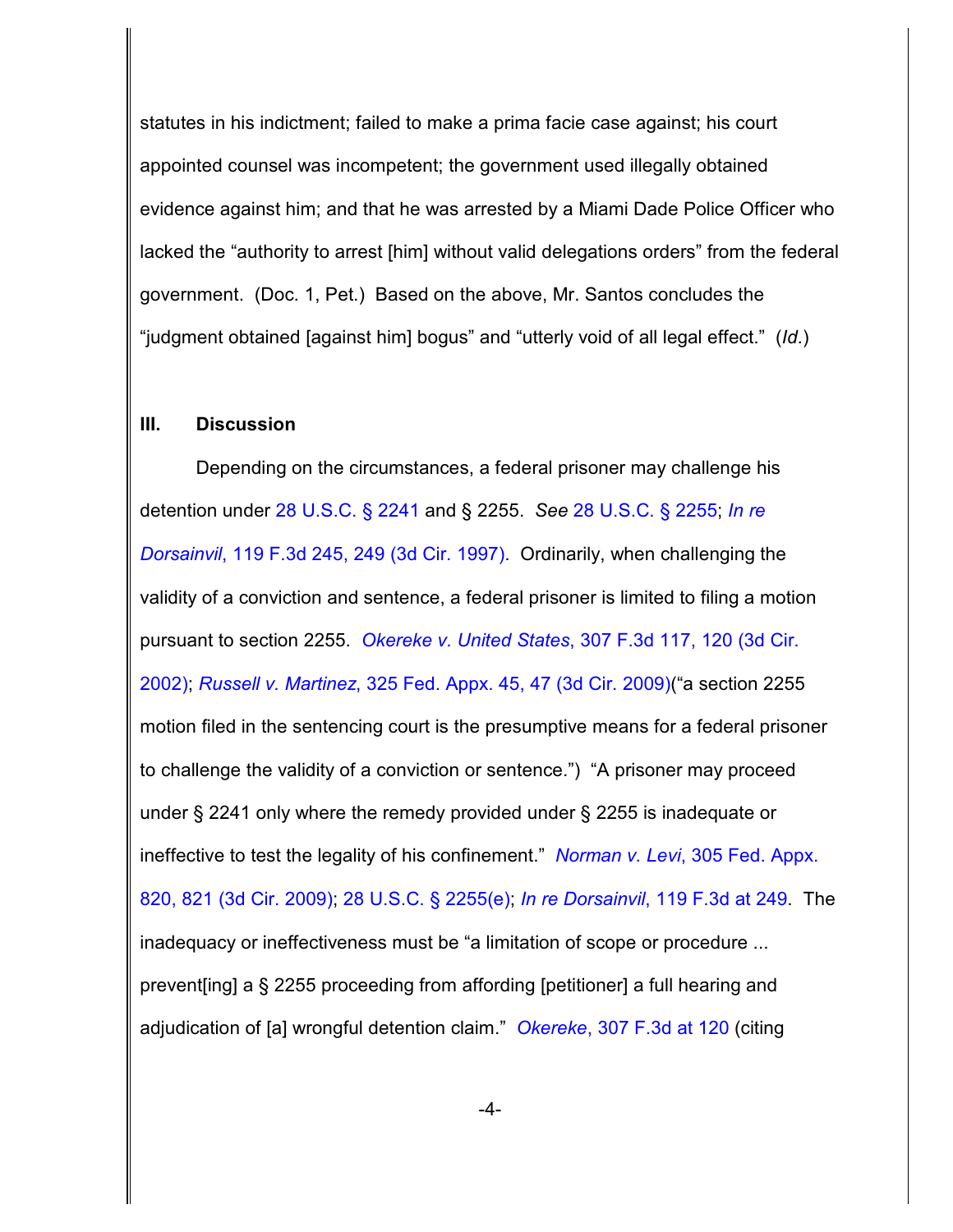statutes in his indictment; failed to make a prima facie case against; his court appointed counsel was incompetent; the government used illegally obtained evidence against him; and that he was arrested by a Miami Dade Police Officer who lacked the "authority to arrest [him] without valid delegations orders" from the federal government. (Doc. 1, Pet.) Based on the above, Mr. Santos concludes the "judgment obtained [against him] bogus" and "utterly void of all legal effect." (*Id*.)

#### **III. Discussion**

Depending on the circumstances, a federal prisoner may challenge his detention under [28 U.S.C. § 2241](http://www.westlaw.com/find/default.wl?rs=CLWP3.0&vr=2.0&cite=28+USCA+s+2241) and § 2255. *See* [28 U.S.C. § 2255](http://www.westlaw.com/find/default.wl?rs=CLWP3.0&vr=2.0&cite=28+USCA+s+2255); *[In re](http://www.westlaw.com/find/default.wl?rs=CLWP3.0&vr=2.0&cite=119+F.3d+245) Dorsainvil*[, 119 F.3d 245, 249 \(3d Cir. 1997\)](http://www.westlaw.com/find/default.wl?rs=CLWP3.0&vr=2.0&cite=119+F.3d+245). Ordinarily, when challenging the validity of a conviction and sentence, a federal prisoner is limited to filing a motion pursuant to section 2255. *Okereke v. United States*[, 307 F.3d 117, 120 \(3d Cir.](http://www.westlaw.com/find/default.wl?rs=CLWP3.0&vr=2.0&cite=307+F.3d+117) [2002\)](http://www.westlaw.com/find/default.wl?rs=CLWP3.0&vr=2.0&cite=307+F.3d+117); *Russell v. Martinez*[, 325 Fed. Appx. 45, 47 \(3d Cir. 2009\)](http://www.westlaw.com/find/default.wl?rs=CLWP3.0&vr=2.0&cite=325+Fed.Appx.+45)("a section 2255 motion filed in the sentencing court is the presumptive means for a federal prisoner to challenge the validity of a conviction or sentence.") "A prisoner may proceed under § 2241 only where the remedy provided under § 2255 is inadequate or ineffective to test the legality of his confinement." *Norman v. Levi*[, 305 Fed. Appx.](http://www.westlaw.com/find/default.wl?rs=CLWP3.0&vr=2.0&cite=305+Fed.Appx.+820) [820, 821 \(3d Cir. 2009\)](http://www.westlaw.com/find/default.wl?rs=CLWP3.0&vr=2.0&cite=305+Fed.Appx.+820); [28 U.S.C. § 2255\(e\)](http://www.westlaw.com/find/default.wl?rs=CLWP3.0&vr=2.0&cite=28+USCA+s+2255%28e%29); *In re Dorsainvil*[, 119 F.3d at 249](http://www.westlaw.com/find/default.wl?rs=CLWP3.0&vr=2.0&cite=119+F.3d+249). The inadequacy or ineffectiveness must be "a limitation of scope or procedure ... prevent[ing] a § 2255 proceeding from affording [petitioner] a full hearing and adjudication of [a] wrongful detention claim." *Okereke*[, 307 F.3d at 120](http://www.westlaw.com/find/default.wl?rs=CLWP3.0&vr=2.0&cite=307+F.3d+120) (citing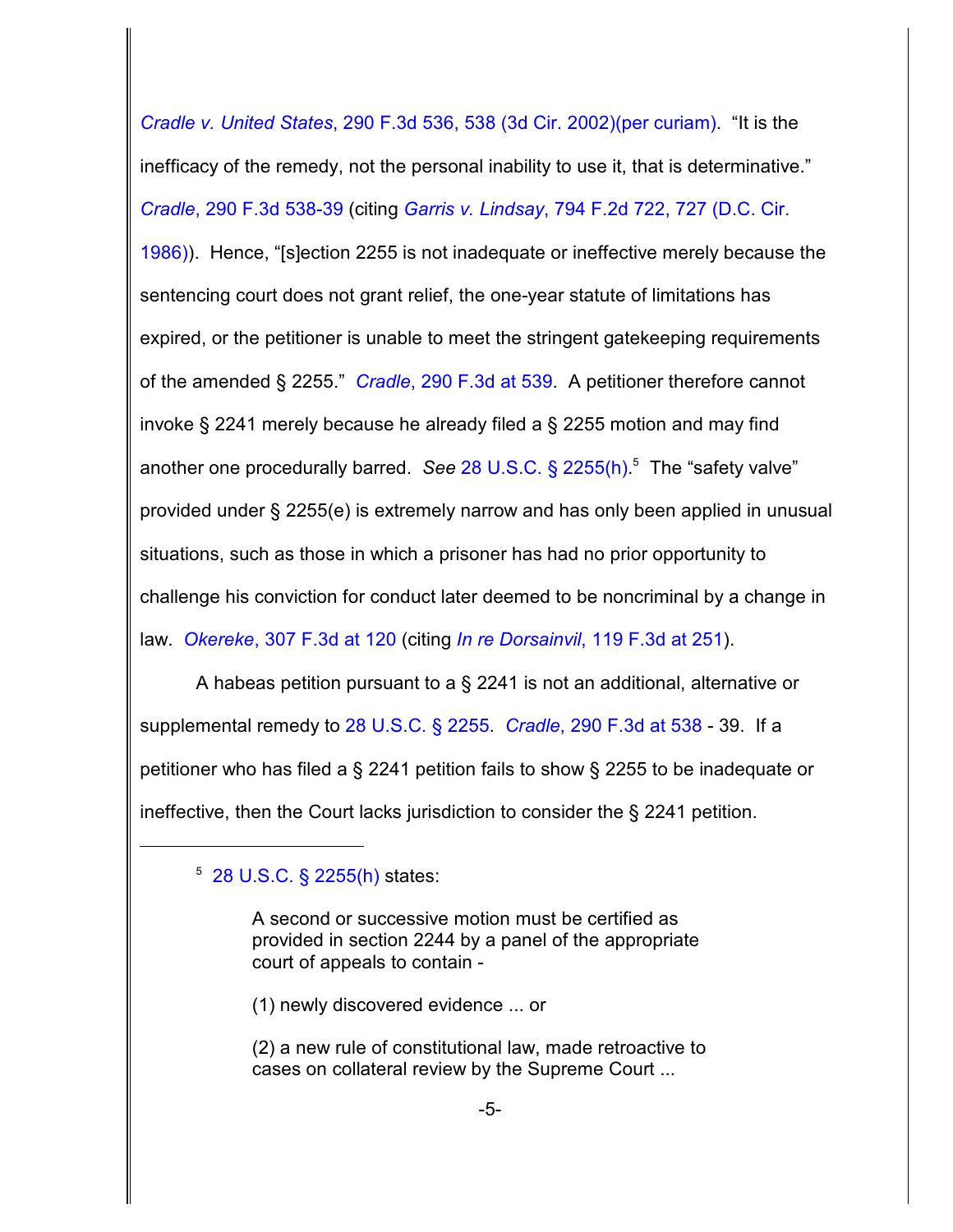*Cradle v. United States*[, 290 F.3d 536, 538 \(3d Cir. 2002\)\(per curiam\)](http://www.westlaw.com/find/default.wl?rs=CLWP3.0&vr=2.0&cite=290+F.3d+536). "It is the inefficacy of the remedy, not the personal inability to use it, that is determinative." *Cradle*[, 290 F.3d 538-39](http://www.westlaw.com/find/default.wl?rs=CLWP3.0&vr=2.0&cite=290+F.3d+538) (citing *Garris v. Lindsay*[, 794 F.2d 722, 727 \(D.C. Cir.](http://www.westlaw.com/keycite/default.wl?rs=CLWP3.0&vr=2.0&cite=Garris+v.+Lindsay%2c+794+F.2d+722%2c+727+%28D.C.+Cir.+1986%29)

[1986\)](http://www.westlaw.com/keycite/default.wl?rs=CLWP3.0&vr=2.0&cite=Garris+v.+Lindsay%2c+794+F.2d+722%2c+727+%28D.C.+Cir.+1986%29)). Hence, "[s]ection 2255 is not inadequate or ineffective merely because the sentencing court does not grant relief, the one-year statute of limitations has expired, or the petitioner is unable to meet the stringent gatekeeping requirements of the amended § 2255." *Cradle*[, 290 F.3d at 539](http://www.westlaw.com/find/default.wl?rs=CLWP3.0&vr=2.0&cite=290+F.3d+539). A petitioner therefore cannot invoke § 2241 merely because he already filed a § 2255 motion and may find another one procedurally barred. *See* [28 U.S.C. § 2255\(h\)](http://www.westlaw.com/find/default.wl?rs=CLWP3.0&vr=2.0&cite=28+USCA+s+2255%28h%29).<sup>5</sup> The "safety valve" provided under § 2255(e) is extremely narrow and has only been applied in unusual situations, such as those in which a prisoner has had no prior opportunity to challenge his conviction for conduct later deemed to be noncriminal by a change in law. *Okereke*[, 307 F.3d at 120](http://www.westlaw.com/find/default.wl?rs=CLWP3.0&vr=2.0&cite=307+F.3d+120) (citing *In re Dorsainvil*[, 119 F.3d at 251](http://www.westlaw.com/keycite/default.wl?rs=CLWP3.0&vr=2.0&cite=In+re+Dorsainvil%2c+119+F.3d+at+251)).

A habeas petition pursuant to a § 2241 is not an additional, alternative or supplemental remedy to [28 U.S.C. § 2255](http://www.westlaw.com/find/default.wl?rs=CLWP3.0&vr=2.0&cite=28+USCA+s+2255). *Cradle*[, 290 F.3d at 538](http://www.westlaw.com/find/default.wl?rs=CLWP3.0&vr=2.0&cite=290+F.3d+538) - 39. If a petitioner who has filed a § 2241 petition fails to show § 2255 to be inadequate or ineffective, then the Court lacks jurisdiction to consider the § 2241 petition.

5 [28 U.S.C. § 2255\(h\)](http://www.westlaw.com/find/default.wl?rs=CLWP3.0&vr=2.0&cite=28+USCA+s+2255%28h%29) states:

A second or successive motion must be certified as provided in section 2244 by a panel of the appropriate court of appeals to contain -

(1) newly discovered evidence ... or

(2) a new rule of constitutional law, made retroactive to cases on collateral review by the Supreme Court ...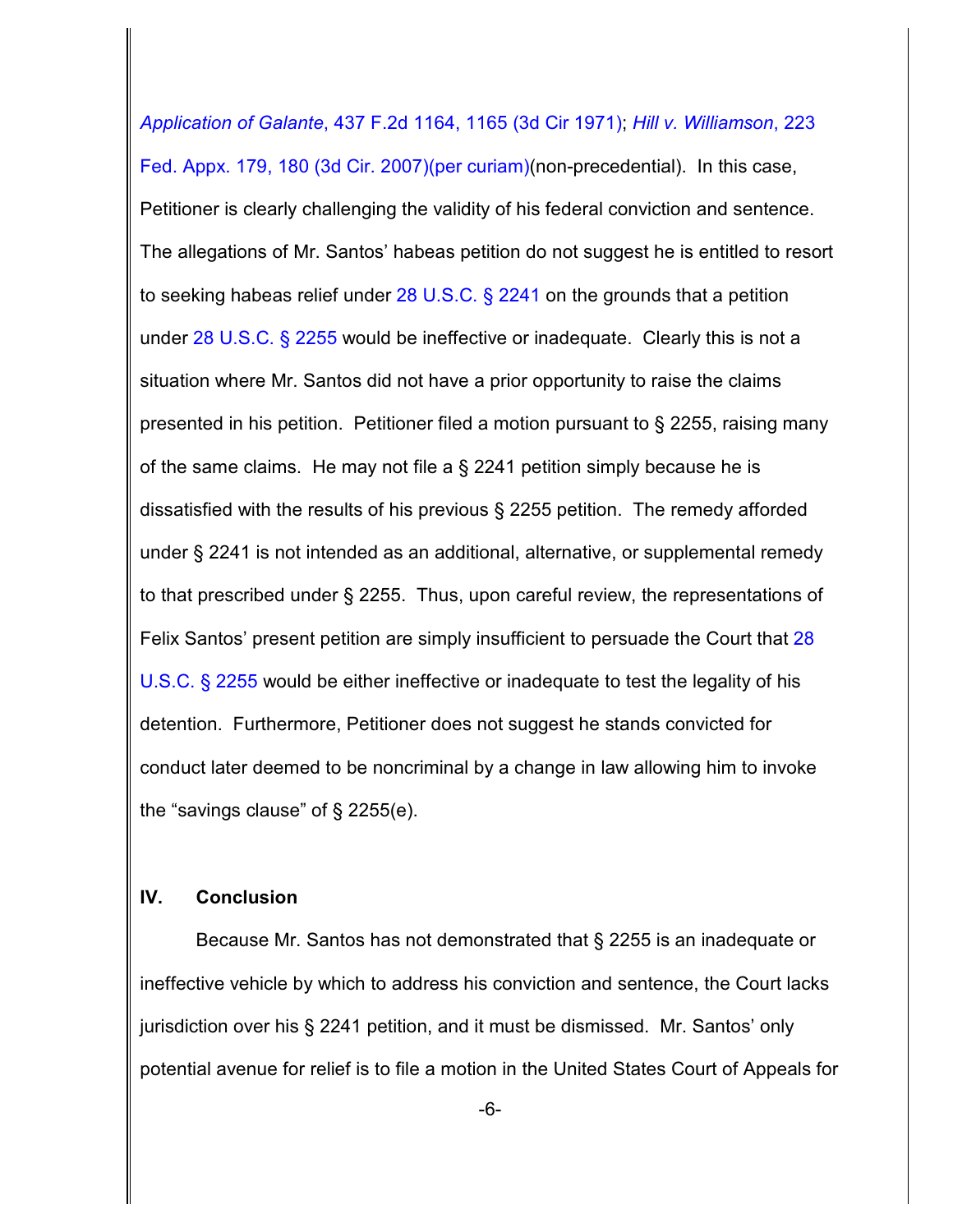*Application of Galante*[, 437 F.2d 1164, 1165 \(3d Cir 1971\)](http://www.westlaw.com/find/default.wl?rs=CLWP3.0&vr=2.0&cite=437+F.2d+1164); *[Hill v. Williamson](http://www.westlaw.com/find/default.wl?rs=CLWP3.0&vr=2.0&cite=223+Fed.Appx.+179)*, 223 [Fed. Appx. 179, 180 \(3d Cir. 2007\)\(per curiam\)](http://www.westlaw.com/find/default.wl?rs=CLWP3.0&vr=2.0&cite=223+Fed.Appx.+179)(non-precedential). In this case, Petitioner is clearly challenging the validity of his federal conviction and sentence. The allegations of Mr. Santos' habeas petition do not suggest he is entitled to resort to seeking habeas relief under  $28$  U.S.C. § 2241 on the grounds that a petition under [28 U.S.C. § 2255](http://www.westlaw.com/find/default.wl?rs=CLWP3.0&vr=2.0&cite=28+USCA+s+2255) would be ineffective or inadequate. Clearly this is not a situation where Mr. Santos did not have a prior opportunity to raise the claims presented in his petition. Petitioner filed a motion pursuant to § 2255, raising many of the same claims. He may not file a § 2241 petition simply because he is dissatisfied with the results of his previous § 2255 petition. The remedy afforded under § 2241 is not intended as an additional, alternative, or supplemental remedy to that prescribed under § 2255. Thus, upon careful review, the representations of Felix Santos' present petition are simply insufficient to persuade the Court that [28](http://www.westlaw.com/find/default.wl?rs=CLWP3.0&vr=2.0&cite=28+USCA+s+2255) [U.S.C. § 2255](http://www.westlaw.com/find/default.wl?rs=CLWP3.0&vr=2.0&cite=28+USCA+s+2255) would be either ineffective or inadequate to test the legality of his detention. Furthermore, Petitioner does not suggest he stands convicted for conduct later deemed to be noncriminal by a change in law allowing him to invoke the "savings clause" of  $\S$  2255(e).

### **IV. Conclusion**

Because Mr. Santos has not demonstrated that § 2255 is an inadequate or ineffective vehicle by which to address his conviction and sentence, the Court lacks jurisdiction over his § 2241 petition, and it must be dismissed. Mr. Santos' only potential avenue for relief is to file a motion in the United States Court of Appeals for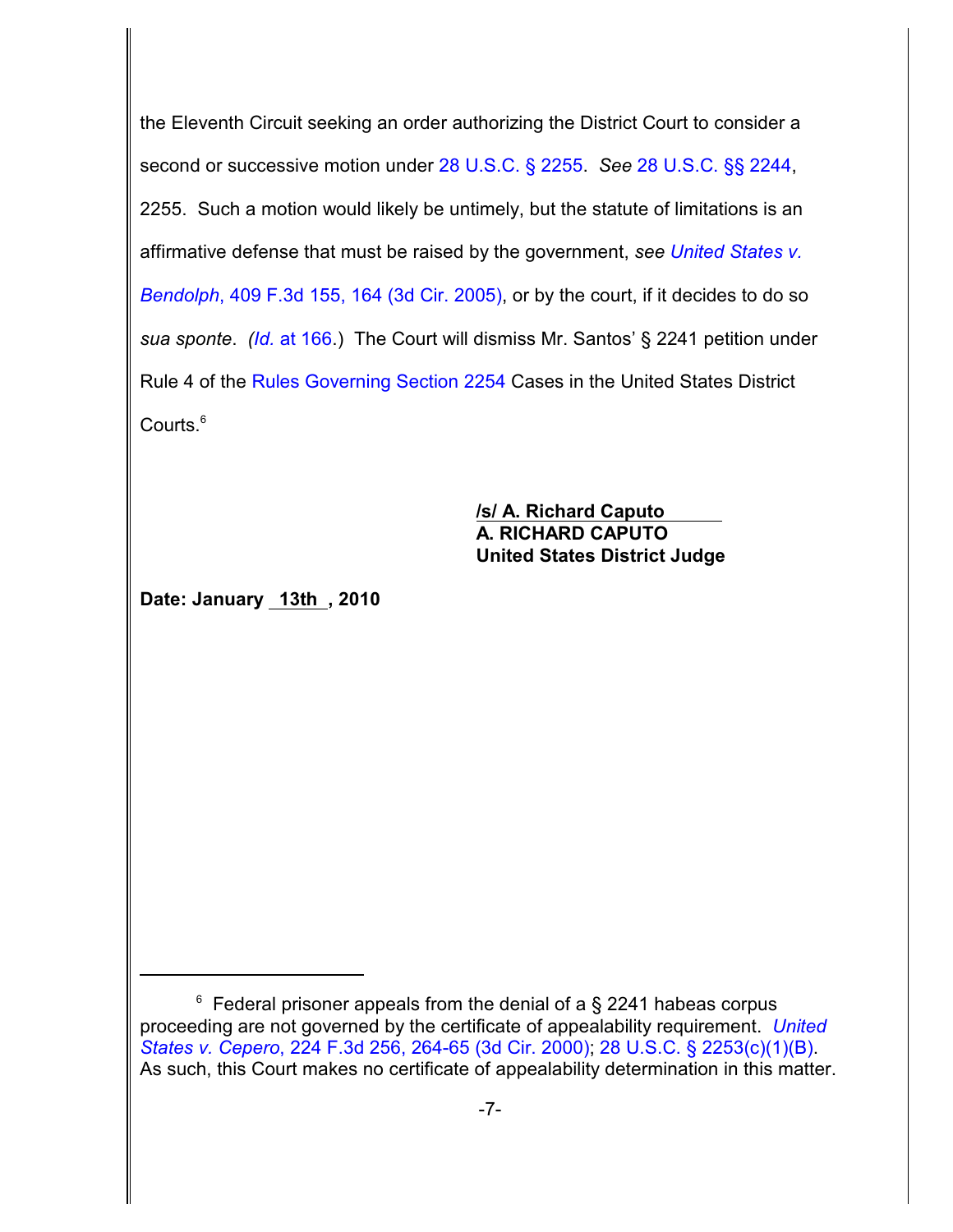the Eleventh Circuit seeking an order authorizing the District Court to consider a second or successive motion under [28 U.S.C. § 2255](http://www.westlaw.com/find/default.wl?rs=CLWP3.0&vr=2.0&cite=28+USCA+s+2255). *See* [28 U.S.C. §§ 2244](http://www.westlaw.com/find/default.wl?rs=CLWP3.0&vr=2.0&cite=28+USCA+ss+2244), 2255. Such a motion would likely be untimely, but the statute of limitations is an affirmative defense that must be raised by the government, *see [United States v.](http://www.westlaw.com/find/default.wl?rs=CLWP3.0&vr=2.0&cite=409+F.3d+155) Bendolph*[, 409 F.3d 155, 164 \(3d Cir. 2005\)](http://www.westlaw.com/find/default.wl?rs=CLWP3.0&vr=2.0&cite=409+F.3d+155), or by the court, if it decides to do so *sua sponte*. *(Id.* [at 166](http://www.westlaw.com/find/default.wl?rs=CLWP3.0&vr=2.0&cite=409+F.3d+166).) The Court will dismiss Mr. Santos' § 2241 petition under Rule 4 of the [Rules Governing Section 2254](http://www.westlaw.com/find/default.wl?rs=CLWP3.0&vr=2.0&cite=SECT+Section+2254) Cases in the United States District Courts.<sup>6</sup>

## **/s/ A. Richard Caputo A. RICHARD CAPUTO United States District Judge**

**Date: January 13th , 2010** 

 $6$  Federal prisoner appeals from the denial of a § 2241 habeas corpus proceeding are not governed by the certificate of appealability requirement. *[United](http://www.westlaw.com/find/default.wl?rs=CLWP3.0&vr=2.0&cite=224+F.3d+256) States v. Cepero*[, 224 F.3d 256, 264-65 \(3d Cir. 2000\)](http://www.westlaw.com/find/default.wl?rs=CLWP3.0&vr=2.0&cite=224+F.3d+256); [28 U.S.C. § 2253\(c\)\(1\)\(B\)](http://www.westlaw.com/find/default.wl?rs=CLWP3.0&vr=2.0&cite=28+USCA+s+2253%28c%29%281%29%28B%29). As such, this Court makes no certificate of appealability determination in this matter.